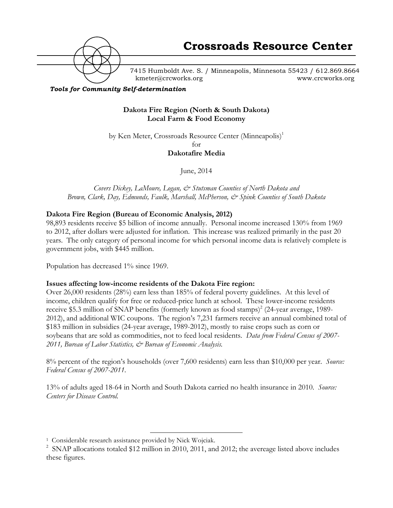

7415 Humboldt Ave. S. / Minneapolis, Minnesota 55423 / 612.869.8664 kmeter@crcworks.org www.crcworks.org

#### *Tools for Community Self-determination*

#### **Dakota Fire Region (North & South Dakota) Local Farm & Food Economy**

by Ken Meter, Crossroads Resource Center (Minneapolis)<sup>1</sup> for

**Dakotafire Media**

June, 2014

*Covers Dickey, LaMoure, Logan, & Stutsman Counties of North Dakota and Brown, Clark, Day, Edmunds, Faulk, Marshall, McPherson, & Spink Counties of South Dakota*

#### **Dakota Fire Region (Bureau of Economic Analysis, 2012)**

98,893 residents receive \$5 billion of income annually. Personal income increased 130% from 1969 to 2012, after dollars were adjusted for inflation. This increase was realized primarily in the past 20 years. The only category of personal income for which personal income data is relatively complete is government jobs, with \$445 million.

Population has decreased 1% since 1969.

#### **Issues affecting low-income residents of the Dakota Fire region:**

Over 26,000 residents (28%) earn less than 185% of federal poverty guidelines. At this level of income, children qualify for free or reduced-price lunch at school. These lower-income residents receive \$5.3 million of SNAP benefits (formerly known as food stamps)<sup>2</sup> (24-year average, 1989-2012), and additional WIC coupons. The region's 7,231 farmers receive an annual combined total of \$183 million in subsidies (24-year average, 1989-2012), mostly to raise crops such as corn or soybeans that are sold as commodities, not to feed local residents. *Data from Federal Census of 2007- 2011, Bureau of Labor Statistics, & Bureau of Economic Analysis.*

8% percent of the region's households (over 7,600 residents) earn less than \$10,000 per year. *Source: Federal Census of 2007-2011.*

13% of adults aged 18-64 in North and South Dakota carried no health insurance in 2010. *Source: Centers for Disease Control.*

 <sup>1</sup> Considerable research assistance provided by Nick Wojciak.

<sup>&</sup>lt;sup>2</sup> SNAP allocations totaled \$12 million in 2010, 2011, and 2012; the avereage listed above includes these figures.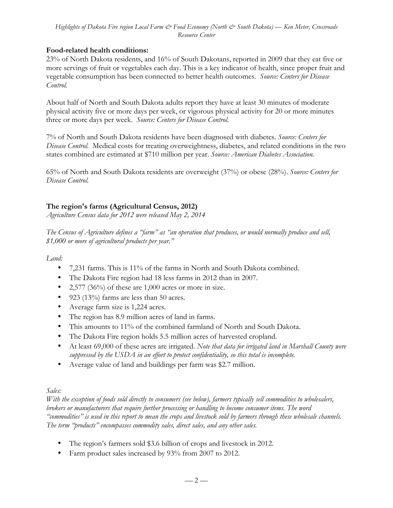#### **Food-related health conditions:**

23% of North Dakota residents, and 16% of South Dakotans, reported in 2009 that they eat five or more servings of fruit or vegetables each day. This is a key indicator of health, since proper fruit and vegetable consumption has been connected to better health outcomes. *Source: Centers for Disease Control.*

About half of North and South Dakota adults report they have at least 30 minutes of moderate physical activity five or more days per week, or vigorous physical activity for 20 or more minutes three or more days per week. *Source: Centers for Disease Control.*

7% of North and South Dakota residents have been diagnosed with diabetes. *Source: Centers for Disease Control.* Medical costs for treating overweightness, diabetes, and related conditions in the two states combined are estimated at \$710 million per year. *Source: American Diabetes Association.*

65% of North and South Dakota residents are overweight (37%) or obese (28%). *Source: Centers for Disease Control.*

### **The region's farms (Agricultural Census, 2012)**

*Agriculture Census data for 2012 were released May 2, 2014*

*The Census of Agriculture defines a "farm" as "an operation that produces, or would normally produce and sell, \$1,000 or more of agricultural products per year."*

*Land:*

- 7,231 farms. This is 11% of the farms in North and South Dakota combined.
- The Dakota Fire region had 18 less farms in 2012 than in 2007.
- 2,577 (36%) of these are 1,000 acres or more in size.
- 923 (13%) farms are less than 50 acres.
- Average farm size is 1,224 acres.
- The region has 8.9 million acres of land in farms.
- This amounts to 11% of the combined farmland of North and South Dakota.
- The Dakota Fire region holds 5.5 million acres of harvested cropland.
- At least 69,000 of these acres are irrigated. *Note that data for irrigated land in Marshall County were suppressed by the USDA in an effort to protect confidentiality, so this total is incomplete.*
- Average value of land and buildings per farm was \$2.7 million.

### *Sales:*

*With the exception of foods sold directly to consumers (see below), farmers typically sell commodities to wholesalers, brokers or manufacturers that require further processing or handling to become consumer items. The word "commodities" is used in this report to mean the crops and livestock sold by farmers through these wholesale channels. The term "products" encompasses commodity sales, direct sales, and any other sales.* 

- The region's farmers sold \$3.6 billion of crops and livestock in 2012.
- Farm product sales increased by 93% from 2007 to 2012.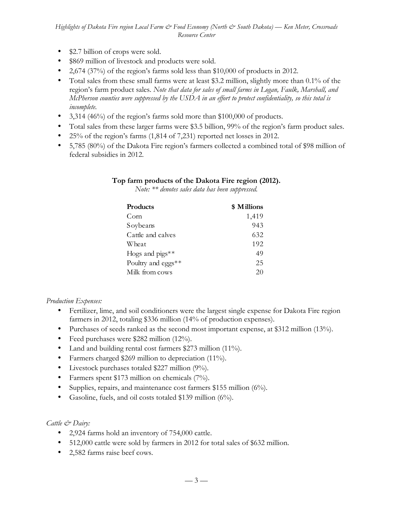- \$2.7 billion of crops were sold.
- \$869 million of livestock and products were sold.
- 2,674 (37%) of the region's farms sold less than \$10,000 of products in 2012.
- Total sales from these small farms were at least \$3.2 million, slightly more than 0.1% of the region's farm product sales. *Note that data for sales of small farms in Logan, Faulk, Marshall, and McPherson counties were suppressed by the USDA in an effort to protect confidentiality, so this total is incomplete.*
- 3,314 (46%) of the region's farms sold more than \$100,000 of products.
- Total sales from these larger farms were \$3.5 billion, 99% of the region's farm product sales.
- 25% of the region's farms (1,814 of 7,231) reported net losses in 2012.
- 5,785 (80%) of the Dakota Fire region's farmers collected a combined total of \$98 million of federal subsidies in 2012.

### **Top farm products of the Dakota Fire region (2012).**

*Note: \*\* denotes sales data has been suppressed.* 

| <b>Products</b>                | \$ Millions |
|--------------------------------|-------------|
| Corn                           | 1,419       |
| Soybeans                       | 943         |
| Cattle and calves              | 632         |
| Wheat                          | 192         |
| Hogs and $\text{pigs}_{**$     | 49          |
| Poultry and eggs <sup>**</sup> | 25          |
| Milk from cows                 | 20          |

### *Production Expenses:*

- Fertilizer, lime, and soil conditioners were the largest single expense for Dakota Fire region farmers in 2012, totaling \$336 million (14% of production expenses).
- Purchases of seeds ranked as the second most important expense, at \$312 million (13%).
- Feed purchases were \$282 million (12%).
- Land and building rental cost farmers \$273 million (11%).
- Farmers charged \$269 million to depreciation (11%).
- Livestock purchases totaled \$227 million (9%).
- Farmers spent \$173 million on chemicals (7%).
- Supplies, repairs, and maintenance cost farmers \$155 million (6%).
- Gasoline, fuels, and oil costs totaled \$139 million (6%).

### *Cattle & Dairy:*

- 2,924 farms hold an inventory of 754,000 cattle.
- 512,000 cattle were sold by farmers in 2012 for total sales of \$632 million.
- 2,582 farms raise beef cows.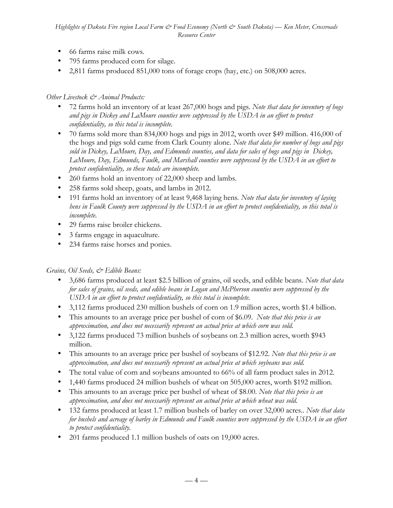- 66 farms raise milk cows.
- 795 farms produced corn for silage.
- 2,811 farms produced 851,000 tons of forage crops (hay, etc.) on 508,000 acres.

### *Other Livestock & Animal Products:*

- 72 farms hold an inventory of at least 267,000 hogs and pigs. *Note that data for inventory of hogs and pigs in Dickey and LaMoure counties were suppressed by the USDA in an effort to protect confidentiality, so this total is incomplete.*
- 70 farms sold more than 834,000 hogs and pigs in 2012, worth over \$49 million. 416,000 of the hogs and pigs sold came from Clark County alone. *Note that data for number of hogs and pigs sold in Dickey, LaMoure, Day, and Edmunds counties, and data for sales of hogs and pigs in Dickey, LaMoure, Day, Edmunds, Faulk, and Marshall counties were suppressed by the USDA in an effort to protect confidentiality, so these totals are incomplete.*
- 260 farms hold an inventory of 22,000 sheep and lambs.
- 258 farms sold sheep, goats, and lambs in 2012.
- 191 farms hold an inventory of at least 9,468 laying hens*. Note that data for inventory of laying hens in Faulk County were suppressed by the USDA in an effort to protect confidentiality, so this total is incomplete.*
- 29 farms raise broiler chickens.
- 3 farms engage in aquaculture.
- 234 farms raise horses and ponies.

### *Grains, Oil Seeds, & Edible Beans:*

- 3,686 farms produced at least \$2.5 billion of grains, oil seeds, and edible beans. *Note that data for sales of grains, oil seeds, and edible beans in Logan and McPherson counties were suppressed by the USDA in an effort to protect confidentiality, so this total is incomplete.*
- 3,112 farms produced 230 million bushels of corn on 1.9 million acres, worth \$1.4 billion.
- This amounts to an average price per bushel of corn of \$6.09. *Note that this price is an approximation, and does not necessarily represent an actual price at which corn was sold.*
- 3,122 farms produced 73 million bushels of soybeans on 2.3 million acres, worth \$943 million.
- This amounts to an average price per bushel of soybeans of \$12.92. *Note that this price is an approximation, and does not necessarily represent an actual price at which soybeans was sold.*
- The total value of corn and soybeans amounted to 66% of all farm product sales in 2012.
- 1,440 farms produced 24 million bushels of wheat on 505,000 acres, worth \$192 million.
- This amounts to an average price per bushel of wheat of \$8.00. *Note that this price is an approximation, and does not necessarily represent an actual price at which wheat was sold.*
- 132 farms produced at least 1.7 million bushels of barley on over 32,000 acres.. *Note that data for bushels and acreage of barley in Edmunds and Faulk counties were suppressed by the USDA in an effort to protect confidentiality.*
- 201 farms produced 1.1 million bushels of oats on 19,000 acres.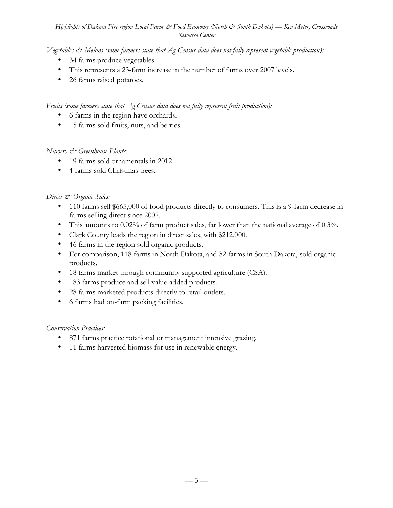*Vegetables & Melons (some farmers state that Ag Census data does not fully represent vegetable production):*

- 34 farms produce vegetables*.*
- This represents a 23-farm increase in the number of farms over 2007 levels.
- 26 farms raised potatoes*.*

*Fruits (some farmers state that Ag Census data does not fully represent fruit production):*

- 6 farms in the region have orchards.
- 15 farms sold fruits, nuts, and berries*.*

### *Nursery & Greenhouse Plants:*

- 19 farms sold ornamentals in 2012.
- 4 farms sold Christmas trees.

### *Direct & Organic Sales:*

- 110 farms sell \$665,000 of food products directly to consumers. This is a 9-farm decrease in farms selling direct since 2007.
- This amounts to 0.02% of farm product sales, far lower than the national average of 0.3%.
- Clark County leads the region in direct sales, with \$212,000.
- 46 farms in the region sold organic products.
- For comparison, 118 farms in North Dakota, and 82 farms in South Dakota, sold organic products.
- 18 farms market through community supported agriculture (CSA).
- 183 farms produce and sell value-added products.
- 28 farms marketed products directly to retail outlets.
- 6 farms had on-farm packing facilities.

### *Conservation Practices:*

- 871 farms practice rotational or management intensive grazing.
- 11 farms harvested biomass for use in renewable energy.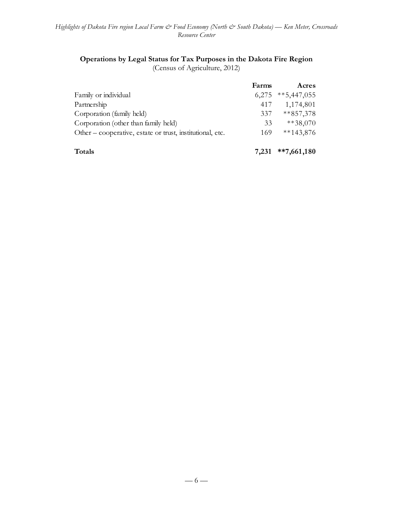# **Operations by Legal Status for Tax Purposes in the Dakota Fire Region**

(Census of Agriculture, 2012)

|                                                           | Farms | Acres         |
|-----------------------------------------------------------|-------|---------------|
| Family or individual                                      | 6,275 | $**5,447,055$ |
| Partnership                                               | 417   | 1,174,801     |
| Corporation (family held)                                 | 337   | $***857,378$  |
| Corporation (other than family held)                      | 33    | $**38,070$    |
| Other – cooperative, estate or trust, institutional, etc. | 169   | $**143,876$   |
| <b>Totals</b>                                             | 7.231 | $**7,661,180$ |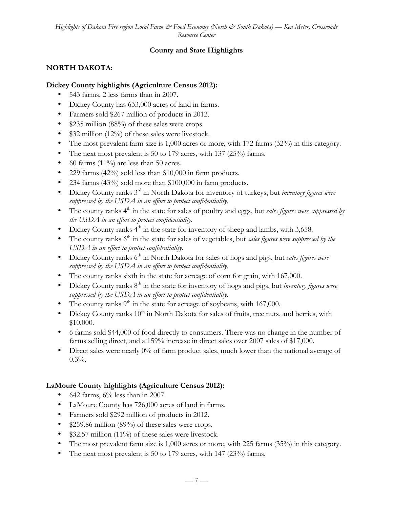## **County and State Highlights**

### **NORTH DAKOTA:**

### **Dickey County highlights (Agriculture Census 2012):**

- 543 farms, 2 less farms than in 2007.
- Dickey County has 633,000 acres of land in farms.
- Farmers sold \$267 million of products in 2012.
- \$235 million (88%) of these sales were crops.
- \$32 million (12%) of these sales were livestock.
- The most prevalent farm size is 1,000 acres or more, with 172 farms (32%) in this category.
- The next most prevalent is 50 to 179 acres, with 137 (25%) farms.
- 60 farms (11%) are less than 50 acres.
- 229 farms (42%) sold less than \$10,000 in farm products.
- 234 farms (43%) sold more than \$100,000 in farm products.
- Dickey County ranks 3rd in North Dakota for inventory of turkeys, but *inventory figures were suppressed by the USDA in an effort to protect confidentiality.*
- The county ranks 4<sup>th</sup> in the state for sales of poultry and eggs, but *sales figures were suppressed by the USDA in an effort to protect confidentiality.*
- Dickey County ranks  $4<sup>th</sup>$  in the state for inventory of sheep and lambs, with 3,658.
- The county ranks 6<sup>th</sup> in the state for sales of vegetables, but *sales figures were suppressed by the USDA in an effort to protect confidentiality.*
- Dickey County ranks 6<sup>th</sup> in North Dakota for sales of hogs and pigs, but *sales figures were suppressed by the USDA in an effort to protect confidentiality.*
- The county ranks sixth in the state for acreage of corn for grain, with 167,000.
- Dickey County ranks 8<sup>th</sup> in the state for inventory of hogs and pigs, but *inventory figures were suppressed by the USDA in an effort to protect confidentiality.*
- The county ranks  $9<sup>th</sup>$  in the state for acreage of soybeans, with 167,000.
- Dickey County ranks  $10^{th}$  in North Dakota for sales of fruits, tree nuts, and berries, with \$10,000.
- 6 farms sold \$44,000 of food directly to consumers. There was no change in the number of farms selling direct, and a 159% increase in direct sales over 2007 sales of \$17,000.
- Direct sales were nearly 0% of farm product sales, much lower than the national average of 0.3%.

# **LaMoure County highlights (Agriculture Census 2012):**

- 642 farms,  $6\%$  less than in 2007.
- LaMoure County has 726,000 acres of land in farms.
- Farmers sold \$292 million of products in 2012.
- \$259.86 million (89%) of these sales were crops.
- \$32.57 million (11%) of these sales were livestock.
- The most prevalent farm size is 1,000 acres or more, with 225 farms (35%) in this category.
- The next most prevalent is 50 to 179 acres, with 147 (23%) farms.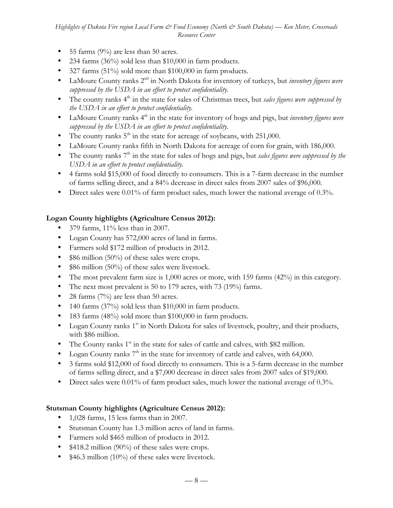- 55 farms  $(9\%)$  are less than 50 acres.
- 234 farms (36%) sold less than \$10,000 in farm products.
- 327 farms (51%) sold more than \$100,000 in farm products.
- LaMoure County ranks 2<sup>nd</sup> in North Dakota for inventory of turkeys, but *inventory figures were suppressed by the USDA in an effort to protect confidentiality.*
- The county ranks 4<sup>th</sup> in the state for sales of Christmas trees, but *sales figures were suppressed by the USDA in an effort to protect confidentiality.*
- LaMoure County ranks 4<sup>th</sup> in the state for inventory of hogs and pigs, but *inventory figures were suppressed by the USDA in an effort to protect confidentiality.*
- The county ranks  $5<sup>th</sup>$  in the state for acreage of soybeans, with 251,000.
- LaMoure County ranks fifth in North Dakota for acreage of corn for grain, with 186,000.
- The county ranks 7<sup>th</sup> in the state for sales of hogs and pigs, but *sales figures were suppressed by the USDA in an effort to protect confidentiality.*
- 4 farms sold \$15,000 of food directly to consumers. This is a 7-farm decrease in the number of farms selling direct, and a 84% decrease in direct sales from 2007 sales of \$96,000.
- Direct sales were 0.01% of farm product sales, much lower the national average of 0.3%.

# **Logan County highlights (Agriculture Census 2012):**

- 379 farms, 11% less than in 2007.
- Logan County has 572,000 acres of land in farms.
- Farmers sold \$172 million of products in 2012.
- \$86 million (50%) of these sales were crops.
- \$86 million (50%) of these sales were livestock.
- The most prevalent farm size is 1,000 acres or more, with 159 farms (42%) in this category.
- The next most prevalent is 50 to 179 acres, with 73 (19%) farms.
- 28 farms  $(7%)$  are less than 50 acres.
- 140 farms (37%) sold less than \$10,000 in farm products.
- 183 farms (48%) sold more than \$100,000 in farm products.
- Logan County ranks  $1^{st}$  in North Dakota for sales of livestock, poultry, and their products, with \$86 million.
- The County ranks  $1^{st}$  in the state for sales of cattle and calves, with \$82 million.
- Logan County ranks  $7<sup>th</sup>$  in the state for inventory of cattle and calves, with 64,000.
- 3 farms sold \$12,000 of food directly to consumers. This is a 5-farm decrease in the number of farms selling direct, and a \$7,000 decrease in direct sales from 2007 sales of \$19,000.
- Direct sales were 0.01% of farm product sales, much lower the national average of 0.3%.

### **Stutsman County highlights (Agriculture Census 2012):**

- 1,028 farms, 15 less farms than in 2007.
- Stutsman County has 1.3 million acres of land in farms.
- Farmers sold \$465 million of products in 2012.
- \$418.2 million (90%) of these sales were crops.
- \$46.3 million (10%) of these sales were livestock.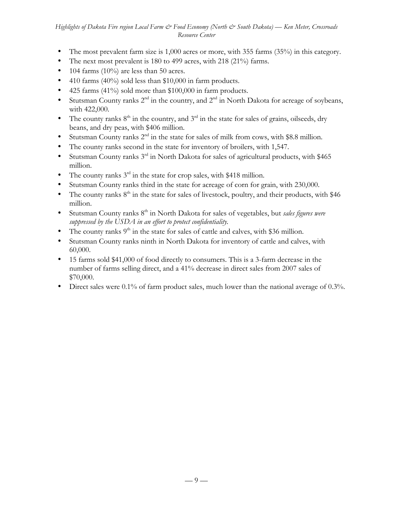- The most prevalent farm size is 1,000 acres or more, with 355 farms (35%) in this category.
- The next most prevalent is 180 to 499 acres, with 218 (21%) farms.
- 104 farms  $(10\%)$  are less than 50 acres.
- 410 farms (40%) sold less than \$10,000 in farm products.
- 425 farms (41%) sold more than \$100,000 in farm products.
- Stutsman County ranks  $2^{nd}$  in the country, and  $2^{nd}$  in North Dakota for acreage of soybeans, with 422,000.
- The county ranks  $8<sup>th</sup>$  in the country, and  $3<sup>rd</sup>$  in the state for sales of grains, oilseeds, dry beans, and dry peas, with \$406 million.
- Stutsman County ranks  $2<sup>nd</sup>$  in the state for sales of milk from cows, with \$8.8 million.
- The county ranks second in the state for inventory of broilers, with 1,547.
- Stutsman County ranks  $3<sup>rd</sup>$  in North Dakota for sales of agricultural products, with \$465 million.
- The county ranks  $3<sup>rd</sup>$  in the state for crop sales, with \$418 million.
- Stutsman County ranks third in the state for acreage of corn for grain, with 230,000.
- The county ranks  $8<sup>th</sup>$  in the state for sales of livestock, poultry, and their products, with \$46 million.
- Stutsman County ranks 8<sup>th</sup> in North Dakota for sales of vegetables, but *sales figures were suppressed by the USDA in an effort to protect confidentiality.*
- The county ranks  $9<sup>th</sup>$  in the state for sales of cattle and calves, with \$36 million.
- Stutsman County ranks ninth in North Dakota for inventory of cattle and calves, with 60,000.
- 15 farms sold \$41,000 of food directly to consumers. This is a 3-farm decrease in the number of farms selling direct, and a 41% decrease in direct sales from 2007 sales of \$70,000.
- Direct sales were 0.1% of farm product sales, much lower than the national average of 0.3%.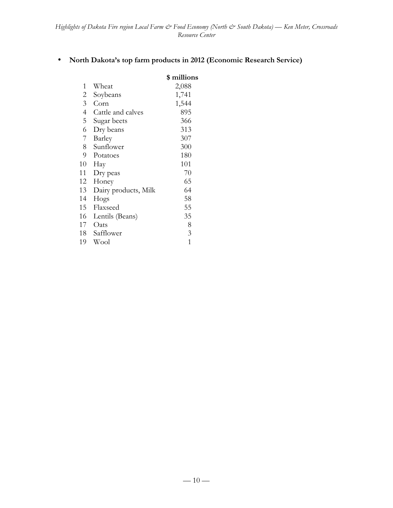## • **North Dakota's top farm products in 2012 (Economic Research Service)**

|                |                      | \$ millions |
|----------------|----------------------|-------------|
| 1              | Wheat                | 2,088       |
| 2              | Soybeans             | 1,741       |
| 3              | Corn                 | 1,544       |
| $\overline{4}$ | Cattle and calves    | 895         |
| 5              | Sugar beets          | 366         |
| 6              | Dry beans            | 313         |
| 7              | Barley               | 307         |
| 8              | Sunflower            | 300         |
| 9              | Potatoes             | 180         |
| 10             | Hay                  | 101         |
| 11             | Dry peas             | 70          |
| 12             | Honey                | 65          |
| 13             | Dairy products, Milk | 64          |
| 14             | Hogs                 | 58          |
| 15             | Flaxseed             | 55          |
| 16             | Lentils (Beans)      | 35          |
| 17             | Oats                 | 8           |
| 18             | Safflower            | 3           |
| 19             | Wool                 | 1           |
|                |                      |             |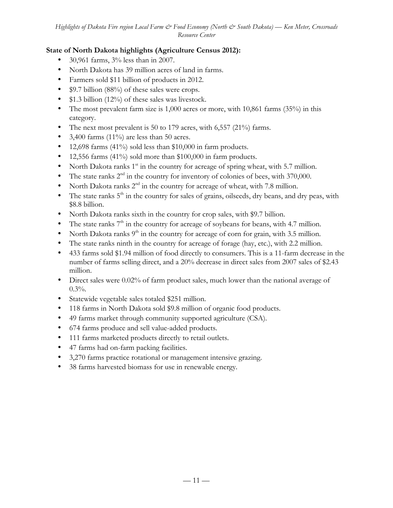# **State of North Dakota highlights (Agriculture Census 2012):**

- 30,961 farms, 3% less than in 2007.
- North Dakota has 39 million acres of land in farms.
- Farmers sold \$11 billion of products in 2012.
- \$9.7 billion (88%) of these sales were crops.
- \$1.3 billion (12%) of these sales was livestock.
- The most prevalent farm size is  $1,000$  acres or more, with  $10,861$  farms  $(35%)$  in this category.
- The next most prevalent is 50 to 179 acres, with 6,557 (21%) farms.
- 3,400 farms (11%) are less than 50 acres.
- 12,698 farms  $(41\%)$  sold less than \$10,000 in farm products.
- 12,556 farms (41%) sold more than \$100,000 in farm products.
- North Dakota ranks  $1<sup>st</sup>$  in the country for acreage of spring wheat, with 5.7 million.
- The state ranks  $2<sup>nd</sup>$  in the country for inventory of colonies of bees, with 370,000.
- North Dakota ranks  $2<sup>nd</sup>$  in the country for acreage of wheat, with 7.8 million.
- The state ranks  $5<sup>th</sup>$  in the country for sales of grains, oilseeds, dry beans, and dry peas, with \$8.8 billion.
- North Dakota ranks sixth in the country for crop sales, with \$9.7 billion.
- The state ranks  $7<sup>th</sup>$  in the country for acreage of soybeans for beans, with 4.7 million.
- North Dakota ranks  $9<sup>th</sup>$  in the country for acreage of corn for grain, with 3.5 million.
- The state ranks ninth in the country for acreage of forage (hay, etc.), with 2.2 million.
- 433 farms sold \$1.94 million of food directly to consumers. This is a 11-farm decrease in the number of farms selling direct, and a 20% decrease in direct sales from 2007 sales of \$2.43 million.
- Direct sales were 0.02% of farm product sales, much lower than the national average of  $0.3%$ .
- Statewide vegetable sales totaled \$251 million.
- 118 farms in North Dakota sold \$9.8 million of organic food products.
- 49 farms market through community supported agriculture (CSA).
- 674 farms produce and sell value-added products.
- 111 farms marketed products directly to retail outlets.
- 47 farms had on-farm packing facilities.
- 3,270 farms practice rotational or management intensive grazing.
- 38 farms harvested biomass for use in renewable energy.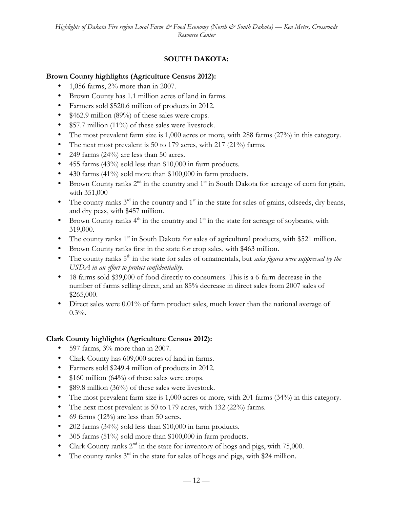# **SOUTH DAKOTA:**

## **Brown County highlights (Agriculture Census 2012):**

- 1,056 farms, 2% more than in 2007.
- Brown County has 1.1 million acres of land in farms.
- Farmers sold \$520.6 million of products in 2012.
- \$462.9 million (89%) of these sales were crops.
- \$57.7 million (11%) of these sales were livestock.
- The most prevalent farm size is 1,000 acres or more, with 288 farms (27%) in this category.
- The next most prevalent is 50 to 179 acres, with 217 (21%) farms.
- 249 farms  $(24%)$  are less than 50 acres.
- 455 farms (43%) sold less than \$10,000 in farm products.
- 430 farms (41%) sold more than \$100,000 in farm products.
- Brown County ranks  $2^{nd}$  in the country and  $1^{st}$  in South Dakota for acreage of corn for grain, with 351,000
- The county ranks  $3^{rd}$  in the country and  $1^{st}$  in the state for sales of grains, oilseeds, dry beans, and dry peas, with \$457 million.
- Brown County ranks  $4<sup>th</sup>$  in the country and  $1<sup>st</sup>$  in the state for acreage of soybeans, with 319,000.
- The county ranks  $1<sup>st</sup>$  in South Dakota for sales of agricultural products, with \$521 million.
- Brown County ranks first in the state for crop sales, with \$463 million.
- The county ranks 5<sup>th</sup> in the state for sales of ornamentals, but *sales figures were suppressed by the USDA in an effort to protect confidentiality.*
- 18 farms sold \$39,000 of food directly to consumers. This is a 6-farm decrease in the number of farms selling direct, and an 85% decrease in direct sales from 2007 sales of \$265,000.
- Direct sales were 0.01% of farm product sales, much lower than the national average of  $0.3%$ .

### **Clark County highlights (Agriculture Census 2012):**

- 597 farms,  $3\%$  more than in 2007.
- Clark County has 609,000 acres of land in farms.
- Farmers sold \$249.4 million of products in 2012.
- \$160 million (64%) of these sales were crops.
- \$89.8 million (36%) of these sales were livestock.
- The most prevalent farm size is 1,000 acres or more, with 201 farms (34%) in this category.
- The next most prevalent is 50 to 179 acres, with 132 (22%) farms.
- 69 farms (12%) are less than 50 acres.
- 202 farms (34%) sold less than \$10,000 in farm products.
- 305 farms (51%) sold more than \$100,000 in farm products.
- Clark County ranks  $2^{nd}$  in the state for inventory of hogs and pigs, with 75,000.
- The county ranks  $3^{rd}$  in the state for sales of hogs and pigs, with \$24 million.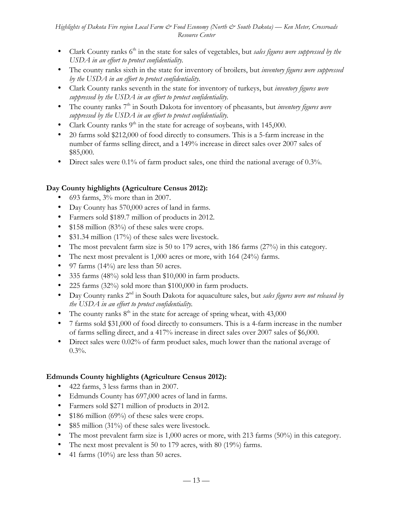- Clark County ranks 6<sup>th</sup> in the state for sales of vegetables, but *sales figures were suppressed by the USDA in an effort to protect confidentiality.*
- The county ranks sixth in the state for inventory of broilers, but *inventory figures were suppressed by the USDA in an effort to protect confidentiality.*
- Clark County ranks seventh in the state for inventory of turkeys, but *inventory figures were suppressed by the USDA in an effort to protect confidentiality.*
- The county ranks 7<sup>th</sup> in South Dakota for inventory of pheasants, but *inventory figures were suppressed by the USDA in an effort to protect confidentiality.*
- Clark County ranks  $9<sup>th</sup>$  in the state for acreage of soybeans, with 145,000.
- 20 farms sold \$212,000 of food directly to consumers. This is a 5-farm increase in the number of farms selling direct, and a 149% increase in direct sales over 2007 sales of \$85,000.
- Direct sales were 0.1% of farm product sales, one third the national average of 0.3%.

# **Day County highlights (Agriculture Census 2012):**

- 693 farms, 3% more than in 2007.
- Day County has 570,000 acres of land in farms.
- Farmers sold \$189.7 million of products in 2012.
- \$158 million (83%) of these sales were crops.
- \$31.34 million (17%) of these sales were livestock.
- The most prevalent farm size is 50 to 179 acres, with 186 farms (27%) in this category.
- The next most prevalent is 1,000 acres or more, with 164 (24%) farms.
- 97 farms (14%) are less than 50 acres.
- 335 farms (48%) sold less than \$10,000 in farm products.
- 225 farms (32%) sold more than \$100,000 in farm products.
- Day County ranks 2nd in South Dakota for aquaculture sales, but *sales figures were not released by the USDA in an effort to protect confidentiality.*
- The county ranks  $8<sup>th</sup>$  in the state for acreage of spring wheat, with 43,000
- 7 farms sold \$31,000 of food directly to consumers. This is a 4-farm increase in the number of farms selling direct, and a 417% increase in direct sales over 2007 sales of \$6,000.
- Direct sales were 0.02% of farm product sales, much lower than the national average of  $0.3%$ .

# **Edmunds County highlights (Agriculture Census 2012):**

- 422 farms, 3 less farms than in 2007.
- Edmunds County has 697,000 acres of land in farms.
- Farmers sold \$271 million of products in 2012.
- \$186 million (69%) of these sales were crops.
- \$85 million (31%) of these sales were livestock.
- The most prevalent farm size is 1,000 acres or more, with 213 farms (50%) in this category.
- The next most prevalent is 50 to 179 acres, with 80 (19%) farms.
- 41 farms (10%) are less than 50 acres.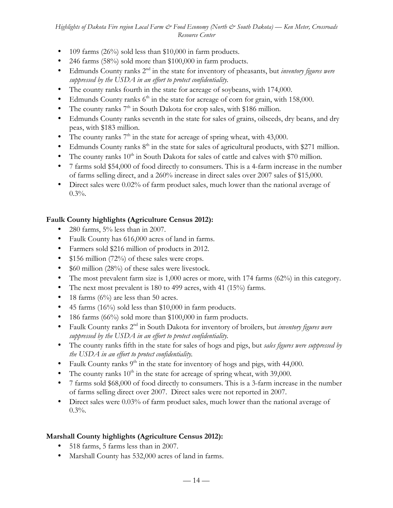- 109 farms (26%) sold less than \$10,000 in farm products.
- 246 farms (58%) sold more than \$100,000 in farm products.
- Edmunds County ranks 2nd in the state for inventory of pheasants, but *inventory figures were suppressed by the USDA in an effort to protect confidentiality.*
- The county ranks fourth in the state for acreage of soybeans, with 174,000.
- Edmunds County ranks  $6<sup>th</sup>$  in the state for acreage of corn for grain, with 158,000.
- The county ranks  $7<sup>th</sup>$  in South Dakota for crop sales, with \$186 million.
- Edmunds County ranks seventh in the state for sales of grains, oilseeds, dry beans, and dry peas, with \$183 million.
- The county ranks  $7<sup>th</sup>$  in the state for acreage of spring wheat, with 43,000.
- Edmunds County ranks  $8<sup>th</sup>$  in the state for sales of agricultural products, with \$271 million.
- The county ranks  $10^{th}$  in South Dakota for sales of cattle and calves with \$70 million.
- 7 farms sold \$54,000 of food directly to consumers. This is a 4-farm increase in the number of farms selling direct, and a 260% increase in direct sales over 2007 sales of \$15,000.
- Direct sales were 0.02% of farm product sales, much lower than the national average of  $0.3%$ .

# **Faulk County highlights (Agriculture Census 2012):**

- 280 farms, 5% less than in 2007.
- Faulk County has 616,000 acres of land in farms.
- Farmers sold \$216 million of products in 2012.
- \$156 million (72%) of these sales were crops.
- \$60 million (28%) of these sales were livestock.
- The most prevalent farm size is  $1,000$  acres or more, with 174 farms  $(62%)$  in this category.
- The next most prevalent is 180 to 499 acres, with 41 (15%) farms.
- 18 farms  $(6\%)$  are less than 50 acres.
- 45 farms  $(16\%)$  sold less than \$10,000 in farm products.
- 186 farms (66%) sold more than \$100,000 in farm products.
- Faulk County ranks 2nd in South Dakota for inventory of broilers, but *inventory figures were suppressed by the USDA in an effort to protect confidentiality.*
- The county ranks fifth in the state for sales of hogs and pigs, but *sales figures were suppressed by the USDA in an effort to protect confidentiality.*
- Faulk County ranks  $9<sup>th</sup>$  in the state for inventory of hogs and pigs, with 44,000.
- The county ranks  $10^{th}$  in the state for acreage of spring wheat, with 39,000.
- 7 farms sold \$68,000 of food directly to consumers. This is a 3-farm increase in the number of farms selling direct over 2007. Direct sales were not reported in 2007.
- Direct sales were 0.03% of farm product sales, much lower than the national average of  $0.3\%$ .

# **Marshall County highlights (Agriculture Census 2012):**

- 518 farms, 5 farms less than in 2007.
- Marshall County has 532,000 acres of land in farms.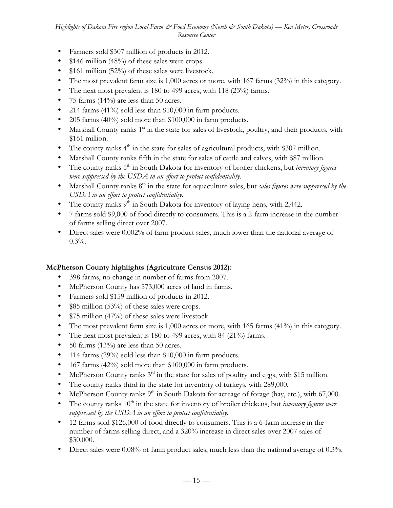- Farmers sold \$307 million of products in 2012.
- \$146 million (48%) of these sales were crops.
- \$161 million (52%) of these sales were livestock.
- The most prevalent farm size is 1,000 acres or more, with 167 farms (32%) in this category.
- The next most prevalent is 180 to 499 acres, with 118 (23%) farms.
- 75 farms  $(14\%)$  are less than 50 acres.
- 214 farms  $(41\%)$  sold less than \$10,000 in farm products.
- 205 farms (40%) sold more than \$100,000 in farm products.
- Marshall County ranks  $1<sup>st</sup>$  in the state for sales of livestock, poultry, and their products, with \$161 million.
- The county ranks  $4<sup>th</sup>$  in the state for sales of agricultural products, with \$307 million.
- Marshall County ranks fifth in the state for sales of cattle and calves, with \$87 million.
- The county ranks 5<sup>th</sup> in South Dakota for inventory of broiler chickens, but *inventory figures were suppressed by the USDA in an effort to protect confidentiality.*
- Marshall County ranks 8<sup>th</sup> in the state for aquaculture sales, but *sales figures were suppressed by the USDA in an effort to protect confidentiality.*
- The county ranks  $9<sup>th</sup>$  in South Dakota for inventory of laying hens, with 2,442.
- 7 farms sold \$9,000 of food directly to consumers. This is a 2-farm increase in the number of farms selling direct over 2007.
- Direct sales were 0.002% of farm product sales, much lower than the national average of  $0.3\%$ .

### **McPherson County highlights (Agriculture Census 2012):**

- 398 farms, no change in number of farms from 2007.
- McPherson County has 573,000 acres of land in farms.
- Farmers sold \$159 million of products in 2012.
- \$85 million (53%) of these sales were crops.
- \$75 million (47%) of these sales were livestock.
- The most prevalent farm size is 1,000 acres or more, with 165 farms (41%) in this category.
- The next most prevalent is 180 to 499 acres, with 84 (21%) farms.
- 50 farms (13%) are less than 50 acres.
- 114 farms (29%) sold less than \$10,000 in farm products.
- 167 farms (42%) sold more than \$100,000 in farm products.
- McPherson County ranks  $3<sup>rd</sup>$  in the state for sales of poultry and eggs, with \$15 million.
- The county ranks third in the state for inventory of turkeys, with 289,000.
- McPherson County ranks  $9<sup>th</sup>$  in South Dakota for acreage of forage (hay, etc.), with 67,000.
- The county ranks 10<sup>th</sup> in the state for inventory of broiler chickens, but *inventory figures were suppressed by the USDA in an effort to protect confidentiality.*
- 12 farms sold \$126,000 of food directly to consumers. This is a 6-farm increase in the number of farms selling direct, and a 320% increase in direct sales over 2007 sales of \$30,000.
- Direct sales were 0.08% of farm product sales, much less than the national average of 0.3%.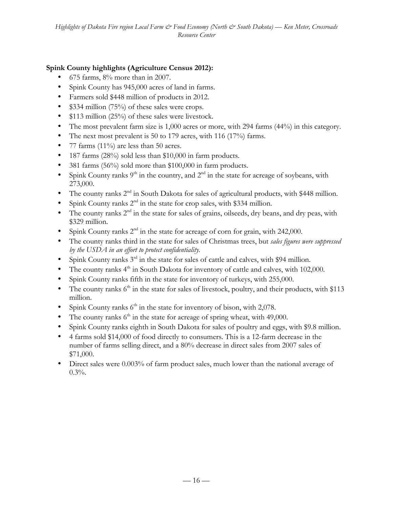# **Spink County highlights (Agriculture Census 2012):**

- 675 farms, 8% more than in 2007.
- Spink County has 945,000 acres of land in farms.
- Farmers sold \$448 million of products in 2012.
- \$334 million (75%) of these sales were crops.
- \$113 million (25%) of these sales were livestock.
- The most prevalent farm size is 1,000 acres or more, with 294 farms (44%) in this category.
- The next most prevalent is 50 to 179 acres, with 116 (17%) farms.
- 77 farms (11%) are less than 50 acres.
- 187 farms (28%) sold less than \$10,000 in farm products.
- 381 farms (56%) sold more than \$100,000 in farm products.
- Spink County ranks  $9<sup>th</sup>$  in the country, and  $2<sup>nd</sup>$  in the state for acreage of soybeans, with 273,000.
- The county ranks  $2^{nd}$  in South Dakota for sales of agricultural products, with \$448 million.
- Spink County ranks  $2<sup>nd</sup>$  in the state for crop sales, with \$334 million.
- The county ranks  $2<sup>nd</sup>$  in the state for sales of grains, oilseeds, dry beans, and dry peas, with \$329 million.
- Spink County ranks  $2<sup>nd</sup>$  in the state for acreage of corn for grain, with 242,000.
- The county ranks third in the state for sales of Christmas trees, but *sales figures were suppressed by the USDA in an effort to protect confidentiality.*
- Spink County ranks  $3^{rd}$  in the state for sales of cattle and calves, with \$94 million.
- The county ranks  $4<sup>th</sup>$  in South Dakota for inventory of cattle and calves, with 102,000.
- Spink County ranks fifth in the state for inventory of turkeys, with 255,000.
- The county ranks  $6<sup>th</sup>$  in the state for sales of livestock, poultry, and their products, with \$113 million.
- Spink County ranks  $6<sup>th</sup>$  in the state for inventory of bison, with 2,078.
- The county ranks  $6<sup>th</sup>$  in the state for acreage of spring wheat, with 49,000.
- Spink County ranks eighth in South Dakota for sales of poultry and eggs, with \$9.8 million.
- 4 farms sold \$14,000 of food directly to consumers. This is a 12-farm decrease in the number of farms selling direct, and a 80% decrease in direct sales from 2007 sales of \$71,000.
- Direct sales were 0.003% of farm product sales, much lower than the national average of  $0.3\%$ .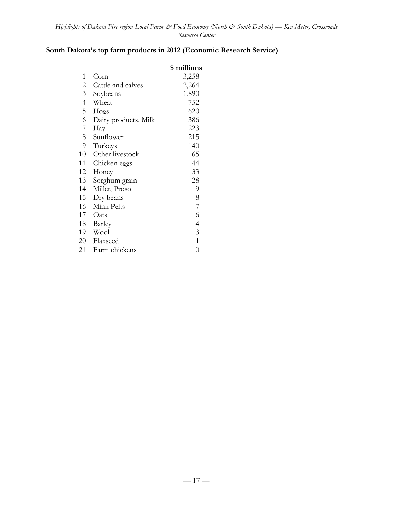# **South Dakota's top farm products in 2012 (Economic Research Service)**

|                |                      | \$ millions    |
|----------------|----------------------|----------------|
| 1              | Corn                 | 3,258          |
| 2              | Cattle and calves    | 2,264          |
| $\mathfrak{Z}$ | Soybeans             | 1,890          |
| $\overline{4}$ | Wheat                | 752            |
| 5              | Hogs                 | 620            |
| 6              | Dairy products, Milk | 386            |
| 7              | Hay                  | 223            |
| 8              | Sunflower            | 215            |
| 9              | Turkeys              | 140            |
| 10             | Other livestock      | 65             |
| 11             | Chicken eggs         | 44             |
| 12             | Honey                | 33             |
| 13             | Sorghum grain        | 28             |
| 14             | Millet, Proso        | 9              |
| 15             | Dry beans            | 8              |
| 16             | Mink Pelts           | 7              |
| 17             | Oats                 | 6              |
| 18             | Barley               | $\overline{4}$ |
| 19             | Wool                 | 3              |
| 20             | Flaxseed             | $\mathbf{1}$   |
| 21             | Farm chickens        | $\overline{0}$ |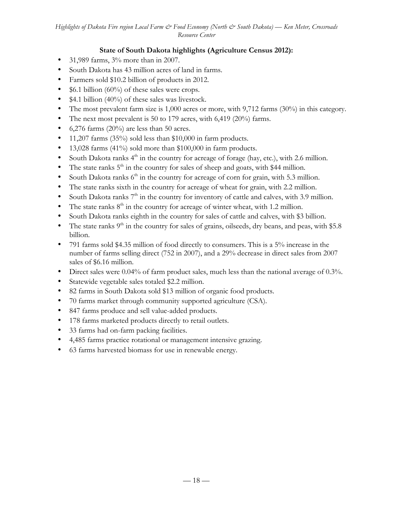# **State of South Dakota highlights (Agriculture Census 2012):**

- 31,989 farms, 3% more than in 2007.
- South Dakota has 43 million acres of land in farms.
- Farmers sold \$10.2 billion of products in 2012.
- $$6.1$  billion (60%) of these sales were crops.
- \$4.1 billion (40%) of these sales was livestock.
- The most prevalent farm size is 1,000 acres or more, with 9,712 farms (30%) in this category.
- The next most prevalent is 50 to 179 acres, with 6,419 (20%) farms.
- 6,276 farms  $(20\%)$  are less than 50 acres.
- 11,207 farms (35%) sold less than \$10,000 in farm products.
- 13,028 farms (41%) sold more than \$100,000 in farm products.
- South Dakota ranks  $4<sup>th</sup>$  in the country for acreage of forage (hay, etc.), with 2.6 million.
- The state ranks  $5<sup>th</sup>$  in the country for sales of sheep and goats, with \$44 million.
- South Dakota ranks  $6<sup>th</sup>$  in the country for acreage of corn for grain, with 5.3 million.
- The state ranks sixth in the country for acreage of wheat for grain, with 2.2 million.
- South Dakota ranks  $7<sup>th</sup>$  in the country for inventory of cattle and calves, with 3.9 million.
- The state ranks  $8<sup>th</sup>$  in the country for acreage of winter wheat, with 1.2 million.
- South Dakota ranks eighth in the country for sales of cattle and calves, with \$3 billion.
- The state ranks  $9<sup>th</sup>$  in the country for sales of grains, oilseeds, dry beans, and peas, with \$5.8 billion.
- 791 farms sold \$4.35 million of food directly to consumers. This is a 5% increase in the number of farms selling direct (752 in 2007), and a 29% decrease in direct sales from 2007 sales of \$6.16 million.
- Direct sales were 0.04% of farm product sales, much less than the national average of 0.3%.
- Statewide vegetable sales totaled \$2.2 million.
- 82 farms in South Dakota sold \$13 million of organic food products.
- 70 farms market through community supported agriculture (CSA).
- 847 farms produce and sell value-added products.
- 178 farms marketed products directly to retail outlets.
- 33 farms had on-farm packing facilities.
- 4,485 farms practice rotational or management intensive grazing.
- 63 farms harvested biomass for use in renewable energy.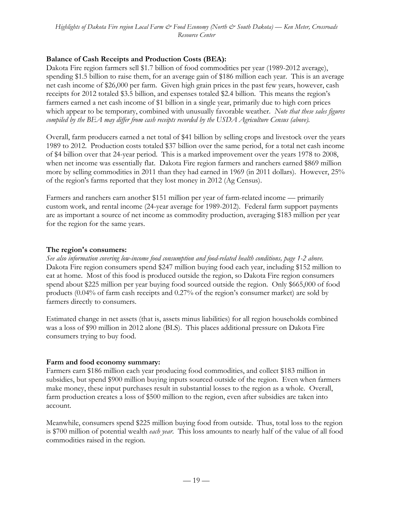### **Balance of Cash Receipts and Production Costs (BEA):**

Dakota Fire region farmers sell \$1.7 billion of food commodities per year (1989-2012 average), spending \$1.5 billion to raise them, for an average gain of \$186 million each year. This is an average net cash income of \$26,000 per farm. Given high grain prices in the past few years, however, cash receipts for 2012 totaled \$3.5 billion, and expenses totaled \$2.4 billion. This means the region's farmers earned a net cash income of \$1 billion in a single year, primarily due to high corn prices which appear to be temporary, combined with unusually favorable weather. *Note that these sales figures compiled by the BEA may differ from cash receipts recorded by the USDA Agriculture Census (above).*

Overall, farm producers earned a net total of \$41 billion by selling crops and livestock over the years 1989 to 2012. Production costs totaled \$37 billion over the same period, for a total net cash income of \$4 billion over that 24-year period. This is a marked improvement over the years 1978 to 2008, when net income was essentially flat. Dakota Fire region farmers and ranchers earned \$869 million more by selling commodities in 2011 than they had earned in 1969 (in 2011 dollars). However, 25% of the region's farms reported that they lost money in 2012 (Ag Census).

Farmers and ranchers earn another \$151 million per year of farm-related income — primarily custom work, and rental income (24-year average for 1989-2012). Federal farm support payments are as important a source of net income as commodity production, averaging \$183 million per year for the region for the same years.

#### **The region's consumers:**

*See also information covering low-income food consumption and food-related health conditions, page 1-2 above.* Dakota Fire region consumers spend \$247 million buying food each year, including \$152 million to eat at home. Most of this food is produced outside the region, so Dakota Fire region consumers spend about \$225 million per year buying food sourced outside the region. Only \$665,000 of food products (0.04% of farm cash receipts and 0.27% of the region's consumer market) are sold by farmers directly to consumers.

Estimated change in net assets (that is, assets minus liabilities) for all region households combined was a loss of \$90 million in 2012 alone (BLS). This places additional pressure on Dakota Fire consumers trying to buy food.

### **Farm and food economy summary:**

Farmers earn \$186 million each year producing food commodities, and collect \$183 million in subsidies, but spend \$900 million buying inputs sourced outside of the region. Even when farmers make money, these input purchases result in substantial losses to the region as a whole. Overall, farm production creates a loss of \$500 million to the region, even after subsidies are taken into account.

Meanwhile, consumers spend \$225 million buying food from outside. Thus, total loss to the region is \$700 million of potential wealth *each year*. This loss amounts to nearly half of the value of all food commodities raised in the region.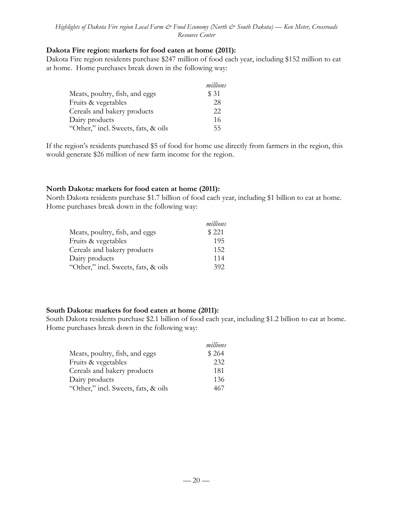#### **Dakota Fire region: markets for food eaten at home (2011):**

Dakota Fire region residents purchase \$247 million of food each year, including \$152 million to eat at home. Home purchases break down in the following way:

|                                     | millions |
|-------------------------------------|----------|
| Meats, poultry, fish, and eggs      | \$ 31    |
| Fruits & vegetables                 | 28       |
| Cereals and bakery products         | 22       |
| Dairy products                      | 16       |
| "Other," incl. Sweets, fats, & oils | 55       |

If the region's residents purchased \$5 of food for home use directly from farmers in the region, this would generate \$26 million of new farm income for the region.

### **North Dakota: markets for food eaten at home (2011):**

North Dakota residents purchase \$1.7 billion of food each year, including \$1 billion to eat at home. Home purchases break down in the following way:

|                                     | millions |
|-------------------------------------|----------|
| Meats, poultry, fish, and eggs      | \$221    |
| Fruits & vegetables                 | 195      |
| Cereals and bakery products         | 152      |
| Dairy products                      | 114      |
| "Other," incl. Sweets, fats, & oils | 392      |

### **South Dakota: markets for food eaten at home (2011):**

South Dakota residents purchase \$2.1 billion of food each year, including \$1.2 billion to eat at home. Home purchases break down in the following way:

|                                     | millions |
|-------------------------------------|----------|
| Meats, poultry, fish, and eggs      | \$264    |
| Fruits & vegetables                 | 232      |
| Cereals and bakery products         | 181      |
| Dairy products                      | 136      |
| "Other," incl. Sweets, fats, & oils | 467      |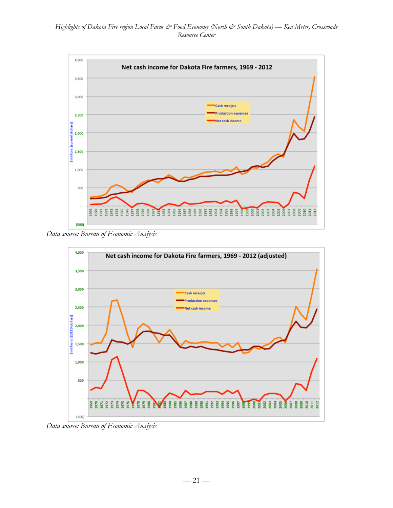

*Data source: Bureau of Economic Analysis*



*Data source: Bureau of Economic Analysis*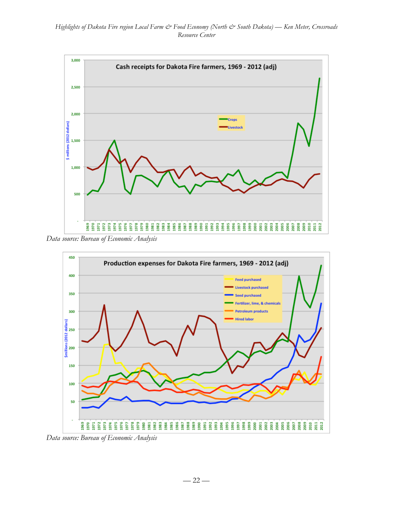

*Data source: Bureau of Economic Analysis*



*Data source: Bureau of Economic Analysis*